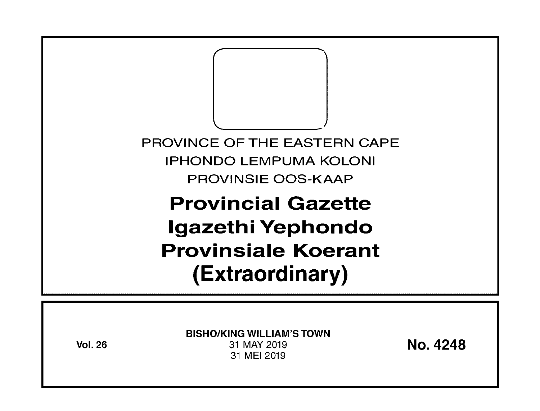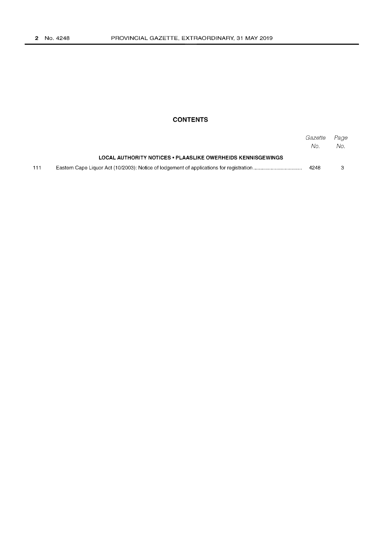## **CONTENTS**

|     |                                                             | Gazette<br>No. | Page<br>No. |
|-----|-------------------------------------------------------------|----------------|-------------|
|     | LOCAL AUTHORITY NOTICES . PLAASLIKE OWERHEIDS KENNISGEWINGS |                |             |
| 111 |                                                             | 4248           |             |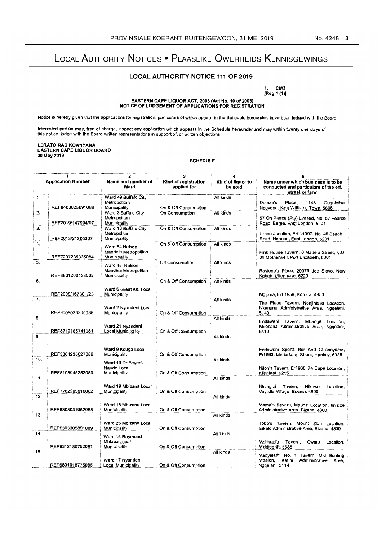# LOCAL AUTHORITY NOTICES • PLAASLIKE OWERHEIDS KENNISGEWINGS

### LOCAL AUTHORITY NOTICE 111 OF 2019

1. CM3 [Reg 4 (1))

# EASTERN CAPE LIQUOR ACT, 2003 (Act No. 10 of 2003) NOTICE OF LODGEMENT OF APPLICATIONS FOR REGISTRATION

Notice is hereby given that the applications for registration, particulars of which appear in the Schedule hereunder, have been lodged with the Board.

Interested parties may, free of charge, inspect any application which appears in the Schedule hereunder and may within twenty one days of<br>this notice, lodge with the Board written representations in support of, or written

### LERATO RADIKOANYANA EASTERN CAPE LIQUOR BOARD 30 May 2019

**SCHEDULE** 

| <b>Application Number</b> |                   | Name and number of<br>Ward                                    | Kind of registration<br>applied for | Kind of liquor to<br>be sold | Name under which business is to be<br>conducted and particulars of the erf.<br>street or farm              |
|---------------------------|-------------------|---------------------------------------------------------------|-------------------------------------|------------------------------|------------------------------------------------------------------------------------------------------------|
| 1.                        | REF8403025691088  | Ward 49 Buffalo City<br>Metropolitan<br>Municipality          | On & Off Consumption                | All kinds                    | Place,<br>Dumza's<br>1148<br>Gugulethu,<br>Ndevana. King Williams Town, 5606                               |
| 2.                        | REF2019/147994/07 | Ward 3 Buffalo City<br>Metropolitan<br>Municipality           | On Consumption                      | All kinds                    | 57 On Pierce (Pty) Limited, No. 57 Pearce<br>Road, Berea, East London, 5201                                |
| 3.                        | REF2013/21305307  | Ward 18 Buffalo City<br>Metropolitan<br>Municipality          | On & Off Consumption                | All kinds                    | Urban Junction, Erf 11097, No. 46 Beach<br>Road. Nahoon, East London, 5201                                 |
| 4.                        | REF7207235335084  | Ward 54 Nelson<br>Mandela Metropolitan<br><b>Municipality</b> | On & Off Consumption                | All kinds                    | Pink House Tavern, 8 Madela Street, N.U.<br>30 Motherwell, Port Elizabeth, 6001                            |
| 5.                        | REF8801200133083  | Ward 48 Nelson<br>Mandela Metropolitan<br><b>Municipality</b> | Off Consumption                     | All kinds                    | Raylene's Place, 29375 Joe Slovo, New<br>Kabah, Uitenhage. 6229                                            |
| 6.                        |                   | Ward 6 Great Kei Local                                        | On & Off Consumption                | All kinds                    |                                                                                                            |
| 7.                        | REF2009/167301/23 | <b>Municipality</b>                                           |                                     | Ali kinds                    | Mgijima, Erf 1959, Komga, 4950<br>The Place Tavern, Nonjintsila Location,                                  |
| 8.                        | REF9008036305088  | Ward 2 Nyandeni Local<br>Municipality                         | On & Off Consumption                | All kinds                    | Nkanunu Administrative Area, Nggeleni,<br>5140                                                             |
|                           | REF8712185741081  | Ward 21 Nyandeni<br>Local Municipality                        | On & Off C <b>o</b> nsumption       |                              | Endaweni Tavern, Mbange Location,<br>Mposana Administrative Area, Nggeleni,<br>5410                        |
| 9.                        |                   | Ward 9 Kouga Local                                            |                                     | All kinds                    | Endaweni Sports Bar And Chisanyama,                                                                        |
| 10.                       | REF3304235027086  | <b>Municipality</b><br>Ward 10 Dr Beyers                      | On & Off Consumption                | All kinds                    | Erf 663, Metlerkaap Street, Hankey, 6335                                                                   |
| 11                        | REF8108045252080  | Naude Local<br><b>Municipality</b>                            | On & Off Consumption                | All kinds                    | Nilon's Tavern, Erf 966, 74 Cape Location,<br>Klipplaat, 6255                                              |
| 12.                       | REF7702285816082  | Ward 19 Mbizana Local<br><b>Municipality</b>                  | On & Off Consumption                |                              | Ntsingizi<br>Tavern,<br>Nikhwe<br>Location,<br>Vuyisile Village, Bizana, 4800                              |
|                           | REF6303031652088  | Ward 18 Mbizana Local<br><b>Municipality</b>                  | On & Off Consumption                | All kinds                    | Mama's Tavern, Mpunzi Location, Imizize<br>Administrative Area, Bizana. 4800                               |
| 13.                       | REF6303305891089  | Ward 26 Mbizana Local<br>Municipality                         | On & Off Consumption                | All kinds                    | Tobo's Tavern, Mount Zion Location,<br>Isikelo Administrative Area, Bizana, 4800                           |
| 14.                       |                   | Ward 16 Raymond<br>Mhlaba Local                               |                                     | All kinds                    | Mzilikazi's<br>Tavern.<br>Cwaru<br>Location.                                                               |
| 15.                       | REF9312180752081  | Municipality<br>Ward 17 Nyandeni                              | On & Off Consumption                | All kinds                    | Middledrift, 5685<br>Madyalathi No. 1 Tavern, Old Bunting<br>Mission,<br>Katini<br>Administrative<br>Area, |
|                           | REF6801018775085  | Local Municipality                                            | On & Off Consumption                |                              | Nggeleni, 5114                                                                                             |